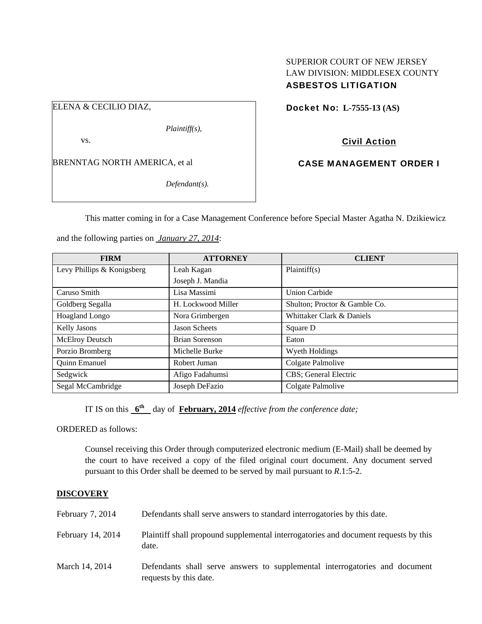### SUPERIOR COURT OF NEW JERSEY LAW DIVISION: MIDDLESEX COUNTY ASBESTOS LITIGATION

### ELENA & CECILIO DIAZ,

*Plaintiff(s),* 

vs.

BRENNTAG NORTH AMERICA, et al

*Defendant(s).* 

Docket No: **L-7555-13 (AS)** 

# Civil Action

## CASE MANAGEMENT ORDER I

This matter coming in for a Case Management Conference before Special Master Agatha N. Dzikiewicz

and the following parties on *January 27, 2014*:

| <b>FIRM</b>                | <b>ATTORNEY</b>      | <b>CLIENT</b>                 |
|----------------------------|----------------------|-------------------------------|
| Levy Phillips & Konigsberg | Leah Kagan           | Plaintiff(s)                  |
|                            | Joseph J. Mandia     |                               |
| Caruso Smith               | Lisa Massimi         | <b>Union Carbide</b>          |
| Goldberg Segalla           | H. Lockwood Miller   | Shulton; Proctor & Gamble Co. |
| Hoagland Longo             | Nora Grimbergen      | Whittaker Clark & Daniels     |
| <b>Kelly Jasons</b>        | <b>Jason Scheets</b> | Square D                      |
| McElroy Deutsch            | Brian Sorenson       | Eaton                         |
| Porzio Bromberg            | Michelle Burke       | Wyeth Holdings                |
| <b>Quinn Emanuel</b>       | Robert Juman         | Colgate Palmolive             |
| Sedgwick                   | Afigo Fadahumsi      | CBS; General Electric         |
| Segal McCambridge          | Joseph DeFazio       | Colgate Palmolive             |

IT IS on this  $6^{\text{th}}$  day of **February, 2014** *effective from the conference date;* 

ORDERED as follows:

Counsel receiving this Order through computerized electronic medium (E-Mail) shall be deemed by the court to have received a copy of the filed original court document. Any document served pursuant to this Order shall be deemed to be served by mail pursuant to *R*.1:5-2.

### **DISCOVERY**

| February $7, 2014$ | Defendants shall serve answers to standard interrogatories by this date.                              |
|--------------------|-------------------------------------------------------------------------------------------------------|
| February 14, 2014  | Plaintiff shall propound supplemental interrogatories and document requests by this<br>date.          |
| March 14, 2014     | Defendants shall serve answers to supplemental interrogatories and document<br>requests by this date. |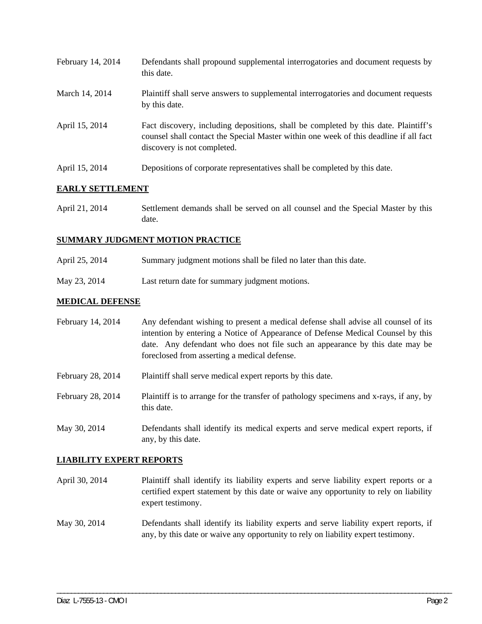| February 14, 2014 | Defendants shall propound supplemental interrogatories and document requests by<br>this date.                                                                                                               |
|-------------------|-------------------------------------------------------------------------------------------------------------------------------------------------------------------------------------------------------------|
| March 14, 2014    | Plaintiff shall serve answers to supplemental interrogatories and document requests<br>by this date.                                                                                                        |
| April 15, 2014    | Fact discovery, including depositions, shall be completed by this date. Plaintiff's<br>counsel shall contact the Special Master within one week of this deadline if all fact<br>discovery is not completed. |
| April 15, 2014    | Depositions of corporate representatives shall be completed by this date.                                                                                                                                   |

## **EARLY SETTLEMENT**

April 21, 2014 Settlement demands shall be served on all counsel and the Special Master by this date.

### **SUMMARY JUDGMENT MOTION PRACTICE**

- April 25, 2014 Summary judgment motions shall be filed no later than this date.
- May 23, 2014 Last return date for summary judgment motions.

### **MEDICAL DEFENSE**

| February 14, 2014 | Any defendant wishing to present a medical defense shall advise all counsel of its<br>intention by entering a Notice of Appearance of Defense Medical Counsel by this<br>date. Any defendant who does not file such an appearance by this date may be<br>foreclosed from asserting a medical defense. |
|-------------------|-------------------------------------------------------------------------------------------------------------------------------------------------------------------------------------------------------------------------------------------------------------------------------------------------------|
| February 28, 2014 | Plaintiff shall serve medical expert reports by this date.                                                                                                                                                                                                                                            |
| February 28, 2014 | Plaintiff is to arrange for the transfer of pathology specimens and x-rays, if any, by<br>this date.                                                                                                                                                                                                  |
| May 30, 2014      | Defendants shall identify its medical experts and serve medical expert reports, if<br>any, by this date.                                                                                                                                                                                              |

### **LIABILITY EXPERT REPORTS**

| April 30, 2014 | Plaintiff shall identify its liability experts and serve liability expert reports or a |
|----------------|----------------------------------------------------------------------------------------|
|                | certified expert statement by this date or waive any opportunity to rely on liability  |
|                | expert testimony.                                                                      |

May 30, 2014 Defendants shall identify its liability experts and serve liability expert reports, if any, by this date or waive any opportunity to rely on liability expert testimony.

\_\_\_\_\_\_\_\_\_\_\_\_\_\_\_\_\_\_\_\_\_\_\_\_\_\_\_\_\_\_\_\_\_\_\_\_\_\_\_\_\_\_\_\_\_\_\_\_\_\_\_\_\_\_\_\_\_\_\_\_\_\_\_\_\_\_\_\_\_\_\_\_\_\_\_\_\_\_\_\_\_\_\_\_\_\_\_\_\_\_\_\_\_\_\_\_\_\_\_\_\_\_\_\_\_\_\_\_\_\_